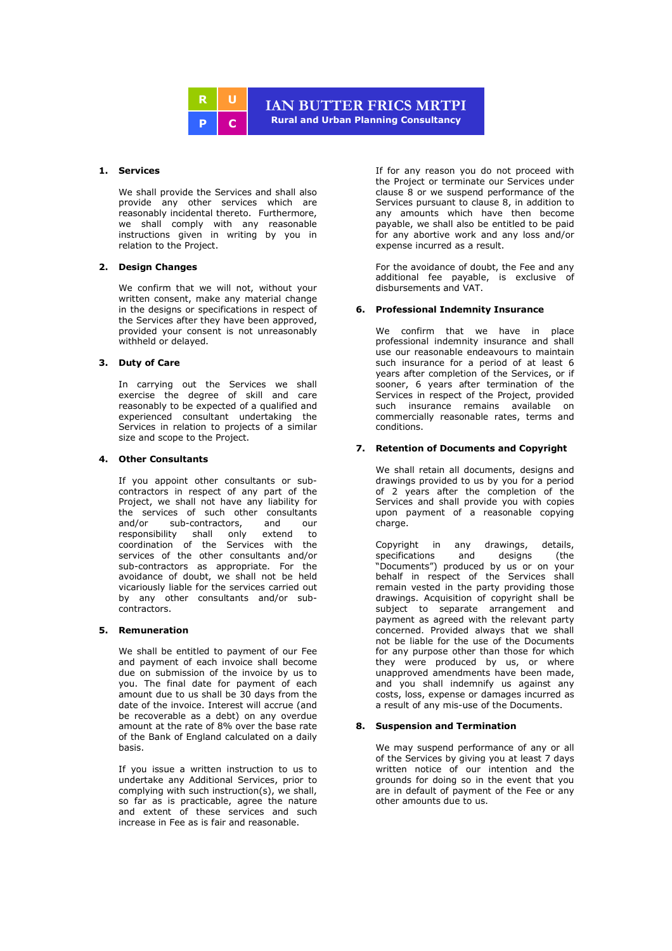

# **1. Services**

We shall provide the Services and shall also provide any other services which are reasonably incidental thereto. Furthermore, we shall comply with any reasonable instructions given in writing by you in relation to the Project.

### **2. Design Changes**

We confirm that we will not, without your written consent, make any material change in the designs or specifications in respect of the Services after they have been approved, provided your consent is not unreasonably withheld or delayed.

# **3. Duty of Care**

In carrying out the Services we shall exercise the degree of skill and care reasonably to be expected of a qualified and experienced consultant undertaking the Services in relation to projects of a similar size and scope to the Project.

### **4. Other Consultants**

If you appoint other consultants or subcontractors in respect of any part of the Project, we shall not have any liability for the services of such other consultants<br>and/or sub-contractors, and our sub-contractors, responsibility shall only extend to coordination of the Services with the services of the other consultants and/or sub-contractors as appropriate. For the avoidance of doubt, we shall not be held vicariously liable for the services carried out by any other consultants and/or subcontractors.

### **5. Remuneration**

We shall be entitled to payment of our Fee and payment of each invoice shall become due on submission of the invoice by us to you. The final date for payment of each amount due to us shall be 30 days from the date of the invoice. Interest will accrue (and be recoverable as a debt) on any overdue amount at the rate of 8% over the base rate of the Bank of England calculated on a daily basis.

If you issue a written instruction to us to undertake any Additional Services, prior to complying with such instruction(s), we shall, so far as is practicable, agree the nature and extent of these services and such increase in Fee as is fair and reasonable.

If for any reason you do not proceed with the Project or terminate our Services under clause 8 or we suspend performance of the Services pursuant to clause 8, in addition to any amounts which have then become payable, we shall also be entitled to be paid for any abortive work and any loss and/or expense incurred as a result.

For the avoidance of doubt, the Fee and any additional fee payable, is exclusive of disbursements and VAT.

### **6. Professional Indemnity Insurance**

We confirm that we have in place professional indemnity insurance and shall use our reasonable endeavours to maintain such insurance for a period of at least 6 years after completion of the Services, or if sooner, 6 years after termination of the Services in respect of the Project, provided such insurance remains available on commercially reasonable rates, terms and conditions.

### **7. Retention of Documents and Copyright**

We shall retain all documents, designs and drawings provided to us by you for a period of 2 years after the completion of the Services and shall provide you with copies upon payment of a reasonable copying charge.

Copyright in any drawings, details, specifications and designs (the "Documents") produced by us or on your behalf in respect of the Services shall remain vested in the party providing those drawings. Acquisition of copyright shall be subject to separate arrangement and payment as agreed with the relevant party concerned. Provided always that we shall not be liable for the use of the Documents for any purpose other than those for which they were produced by us, or where unapproved amendments have been made, and you shall indemnify us against any costs, loss, expense or damages incurred as a result of any mis-use of the Documents.

# **8. Suspension and Termination**

We may suspend performance of any or all of the Services by giving you at least 7 days written notice of our intention and the grounds for doing so in the event that you are in default of payment of the Fee or any other amounts due to us.